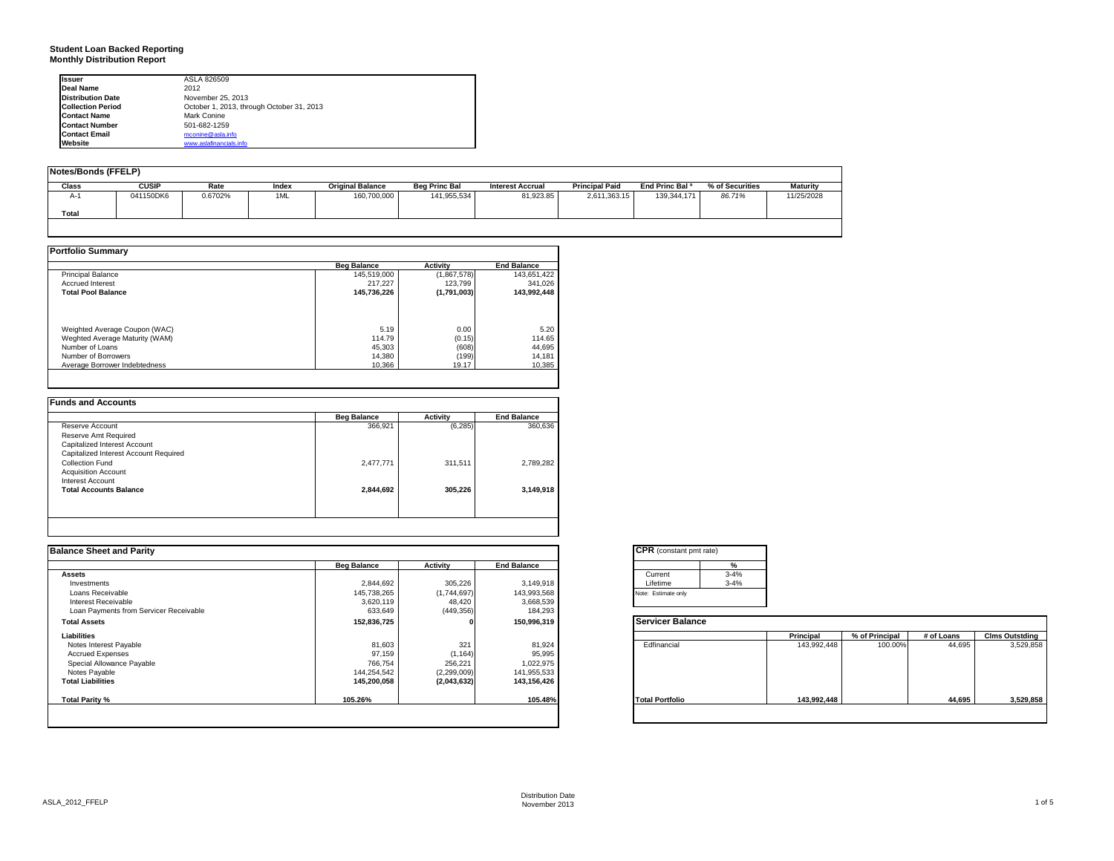# **Student Loan Backed Reporting Monthly Distribution Report**

| <b>Issuer</b>            | ASLA 826509                               |
|--------------------------|-------------------------------------------|
| Deal Name                | 2012                                      |
| <b>Distribution Date</b> | November 25, 2013                         |
| <b>Collection Period</b> | October 1, 2013, through October 31, 2013 |
| <b>Contact Name</b>      | Mark Conine                               |
| <b>Contact Number</b>    | 501-682-1259                              |
| <b>Contact Email</b>     | mconine@asla.info                         |
| Website                  | www.aslafinancials.info                   |

| Notes/Bonds (FFELP) |              |         |       |                         |                      |                         |                       |                            |                 |            |
|---------------------|--------------|---------|-------|-------------------------|----------------------|-------------------------|-----------------------|----------------------------|-----------------|------------|
| Class               | <b>CUSIP</b> | Rate    | Index | <b>Original Balance</b> | <b>Beg Princ Bal</b> | <b>Interest Accrual</b> | <b>Principal Paid</b> | End Princ Bal <sup>a</sup> | % of Securities | Maturity   |
| $A-1$               | 041150DK6    | 0.6702% | 1ML   | 160,700,000             | 141,955,534          | 81,923.85               | 2,611,363.15          | 139,344,171                | 86.71%          | 11/25/2028 |
| Total               |              |         |       |                         |                      |                         |                       |                            |                 |            |
|                     |              |         |       |                         |                      |                         |                       |                            |                 |            |

|                                | <b>Beg Balance</b> | <b>Activity</b> | <b>End Balance</b> |
|--------------------------------|--------------------|-----------------|--------------------|
| <b>Principal Balance</b>       | 145,519,000        | (1,867,578)     | 143,651,422        |
| <b>Accrued Interest</b>        | 217.227            | 123.799         | 341.026            |
| <b>Total Pool Balance</b>      | 145,736,226        | (1,791,003)     | 143,992,448        |
|                                |                    |                 |                    |
| Weighted Average Coupon (WAC)  | 5.19               | 0.00            | 5.20               |
| Weghted Average Maturity (WAM) | 114.79             | (0.15)          | 114.65             |
| Number of Loans                | 45,303             | (608)           | 44,695             |
| Number of Borrowers            | 14,380             | (199)           | 14,181             |
| Average Borrower Indebtedness  | 10.366             | 19.17           | 10,385             |

|                                       | <b>Beg Balance</b> | <b>Activity</b> | <b>End Balance</b> |
|---------------------------------------|--------------------|-----------------|--------------------|
| Reserve Account                       | 366,921            | (6, 285)        | 360,636            |
| Reserve Amt Required                  |                    |                 |                    |
| Capitalized Interest Account          |                    |                 |                    |
| Capitalized Interest Account Required |                    |                 |                    |
| Collection Fund                       | 2,477,771          | 311,511         | 2,789,282          |
| <b>Acquisition Account</b>            |                    |                 |                    |
| Interest Account                      |                    |                 |                    |
| <b>Total Accounts Balance</b>         | 2,844,692          | 305,226         | 3,149,918          |
|                                       |                    |                 |                    |

| <b>Balance Sheet and Parity</b>        |                    |             |                    |                         | <b>CPR</b> (constant pmt rate) |               |             |                |            |                       |
|----------------------------------------|--------------------|-------------|--------------------|-------------------------|--------------------------------|---------------|-------------|----------------|------------|-----------------------|
|                                        | <b>Beg Balance</b> | Activity    | <b>End Balance</b> |                         |                                | $\frac{9}{6}$ |             |                |            |                       |
| <b>Assets</b>                          |                    |             |                    |                         | Current                        | $3 - 4%$      |             |                |            |                       |
| Investments                            | 2,844,692          | 305,226     | 3,149,918          |                         | Lifetime                       | $3 - 4%$      |             |                |            |                       |
| Loans Receivable                       | 145,738,265        | (1,744,697) | 143,993,568        |                         | Note: Estimate only            |               |             |                |            |                       |
| <b>Interest Receivable</b>             | 3,620,119          | 48,420      | 3,668,539          |                         |                                |               |             |                |            |                       |
| Loan Payments from Servicer Receivable | 633,649            | (449, 356)  | 184,293            |                         |                                |               |             |                |            |                       |
| <b>Total Assets</b>                    | 152,836,725        |             | 150,996,319        | <b>Servicer Balance</b> |                                |               |             |                |            |                       |
| Liabilities                            |                    |             |                    |                         |                                |               | Principal   | % of Principal | # of Loans | <b>Clms Outstding</b> |
| Notes Interest Payable                 | 81,603             | 321         | 81,924             |                         | Edfinancial                    |               | 143,992,448 | 100.00%        | 44,695     | 3,529,858             |
| <b>Accrued Expenses</b>                | 97,159             | (1, 164)    | 95,995             |                         |                                |               |             |                |            |                       |
| Special Allowance Payable              | 766,754            | 256,221     | 1,022,975          |                         |                                |               |             |                |            |                       |
| Notes Payable                          | 144,254,542        | (2,299,009) | 141,955,533        |                         |                                |               |             |                |            |                       |
| <b>Total Liabilities</b>               | 145,200,058        | (2,043,632) | 143,156,426        |                         |                                |               |             |                |            |                       |
| Total Parity %                         | 105.26%            |             | 105.48%            |                         | <b>Total Portfolio</b>         |               | 143,992,448 |                | 44,695     | 3,529,858             |
|                                        |                    |             |                    |                         |                                |               |             |                |            |                       |

|          | %        |
|----------|----------|
| Current  | $3 - 4%$ |
| Lifetime | $3 - 4%$ |

#### **Total Assets 152,836,725 0 150,996,319 Servicer Balance**

|                        | <b>Principal</b> | % of Principal | # of Loans | <b>Clms Outstding</b> |
|------------------------|------------------|----------------|------------|-----------------------|
| Edfinancial            | 143,992,448      | 100.00%        | 44,695     | 3,529,858             |
|                        |                  |                |            |                       |
|                        |                  |                |            |                       |
|                        |                  |                |            |                       |
|                        |                  |                |            |                       |
| <b>Total Portfolio</b> | 143,992,448      |                | 44.695     | 3,529,858             |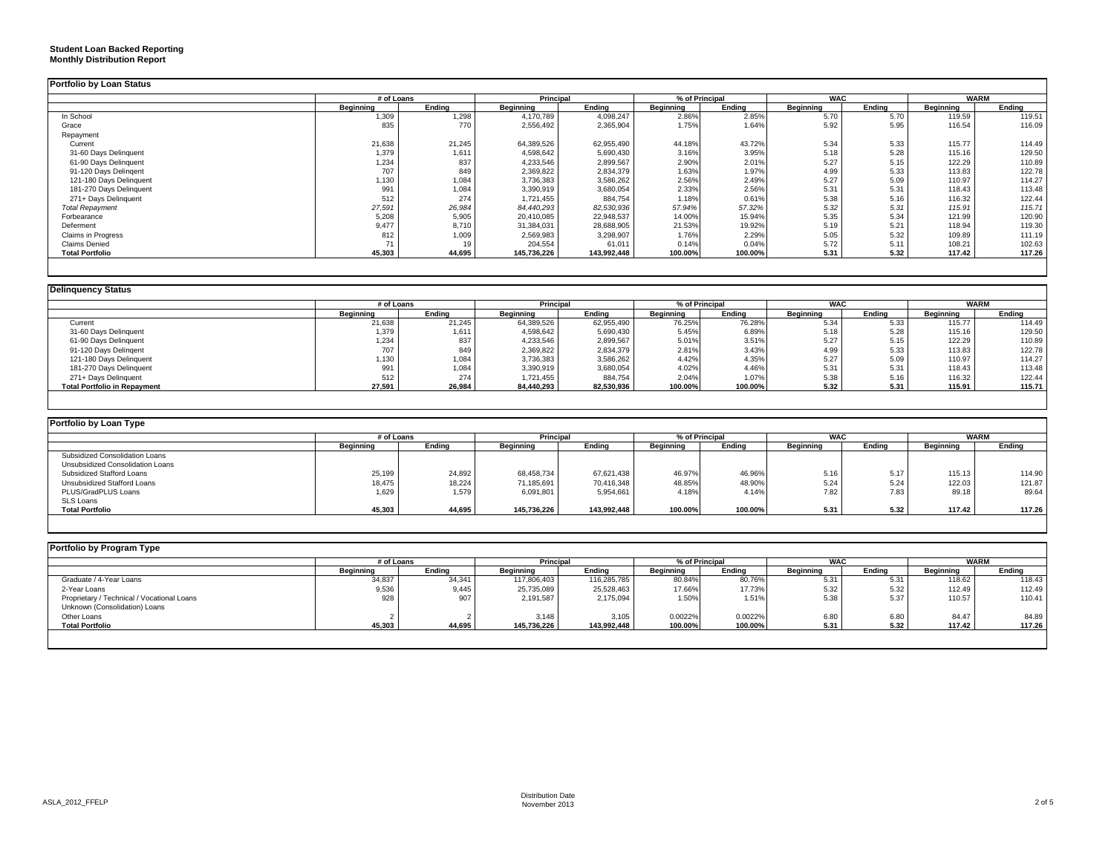# **Student Loan Backed Reporting Monthly Distribution Report**

|                         | # of Loans |        | Principal   |             | % of Principal |         | <b>WAC</b> |        | <b>WARM</b>      |        |
|-------------------------|------------|--------|-------------|-------------|----------------|---------|------------|--------|------------------|--------|
|                         | Beainnina  | Endina | Beainnina   | Endina      | Beginning      | Endina  | Beainnina  | Endina | <b>Beginning</b> | Ending |
| In School               | 1,309      | 1,298  | 4,170,789   | 4,098,247   | 2.86%          | 2.85%   | 5.70       | 5.70   | 119.59           | 119.51 |
| Grace                   | 835        | 770    | 2,556,492   | 2,365,904   | 1.75%          | 1.64%   | 5.92       | 5.95   | 116.54           | 116.09 |
| Repayment               |            |        |             |             |                |         |            |        |                  |        |
| Current                 | 21,638     | 21,245 | 64,389,526  | 62,955,490  | 44.18%         | 43.72%  | 5.34       | 5.33   | 115.77           | 114.49 |
| 31-60 Days Delinquent   | 1,379      | 1,611  | 4,598,642   | 5,690,430   | 3.16%          | 3.95%   | 5.18       | 5.28   | 115.16           | 129.50 |
| 61-90 Days Delinquent   | 1,234      | 837    | 4,233,546   | 2,899,567   | 2.90%          | 2.01%   | 5.27       | 5.15   | 122.29           | 110.89 |
| 91-120 Days Delingent   | 707        | 849    | 2,369,822   | 2,834,379   | 1.63%          | 1.97%   | 4.99       | 5.33   | 113.83           | 122.78 |
| 121-180 Days Delinquent | 1,130      | 1,084  | 3,736,383   | 3,586,262   | 2.56%          | 2.49%   | 5.27       | 5.09   | 110.97           | 114.27 |
| 181-270 Days Delinquent | 991        | 1.084  | 3,390,919   | 3,680,054   | 2.33%          | 2.56%   | 5.31       | 5.31   | 118.43           | 113.48 |
| 271+ Days Delinquent    | 512        | 274    | 1,721,455   | 884,754     | 1.18%          | 0.61%   | 5.38       | 5.16   | 116.32           | 122.44 |
| <b>Total Repayment</b>  | 27,591     | 26,984 | 84,440,293  | 82,530,936  | 57.94%         | 57.32%  | 5.32       | 5.31   | 115.91           | 115.71 |
| Forbearance             | 5,208      | 5,905  | 20,410,085  | 22.948.537  | 14.00%         | 15.94%  | 5.35       | 5.34   | 121.99           | 120.90 |
| Deferment               | 9,477      | 8,710  | 31,384,031  | 28,688,905  | 21.53%         | 19.92%  | 5.19       | 5.21   | 118.94           | 119.30 |
| Claims in Progress      | 812        | 1,009  | 2,569,983   | 3,298,907   | 1.76%          | 2.29%   | 5.05       | 5.32   | 109.89           | 111.19 |
| <b>Claims Denied</b>    | -          |        | 204,554     | 61,011      | 0.14%          | 0.04%   | 5.72       | 5.11   | 108.21           | 102.63 |
| <b>Total Portfolio</b>  | 45,303     | 44,695 | 145,736,226 | 143,992,448 | 100.00%        | 100.00% | 5.31       | 5.32   | 117.42           | 117.26 |

| <b>Delinguency Status</b>           |            |        |                  |            |                  |                |           |            |           |             |  |  |
|-------------------------------------|------------|--------|------------------|------------|------------------|----------------|-----------|------------|-----------|-------------|--|--|
|                                     | # of Loans |        | <b>Principal</b> |            |                  | % of Principal |           | <b>WAC</b> |           | <b>WARM</b> |  |  |
|                                     | Beainnina  | Endina | <b>Beginning</b> | Endina     | <b>Beainning</b> | Endina         | Beginning | Endina     | Beainnina | Endina      |  |  |
| Current                             | 21,638     | 21.245 | 64,389,526       | 62,955,490 | 76.25%           | 76.28%         | 5.34      | 5.33       | 115.77    | 114.49      |  |  |
| 31-60 Days Delinquent               | 1.379      | 1,611  | 4,598,642        | 5,690,430  | 5.45%            | 6.89%          | 5.18      | 5.28       | 115.16    | 129.50      |  |  |
| 61-90 Days Delinquent               | 1.234      | 837    | 4,233,546        | 2,899,567  | 5.01%            | 3.51%          | 5.27      | 5.15       | 122.29    | 110.89      |  |  |
| 91-120 Days Delingent               | 707        | 849    | 2,369,822        | 2,834,379  | 2.81%            | 3.43%          | 4.99      | 5.33       | 113.83    | 122.78      |  |  |
| 121-180 Days Delinquent             | 1,130      | 1,084  | 3,736,383        | 3,586,262  | 4.42%            | 4.35%          | 5.27      | 5.09       | 110.97    | 114.27      |  |  |
| 181-270 Days Delinquent             | 991        | 1,084  | 3,390,919        | 3,680,054  | 4.02%            | 4.46%          | 5.31      | 5.31       | 118.43    | 113.48      |  |  |
| 271+ Days Delinquent                | 512        | 274    | 1,721,455        | 884,754    | 2.04%            | 1.07%          | 5.38      | 5.16       | 116.32    | 122.44      |  |  |
| <b>Total Portfolio in Repayment</b> | 27,591     | 26,984 | 84.440.293       | 82,530,936 | 100.00%          | 100.00%        | 5.32      | 5.31       | 115.91    | 115.71      |  |  |

| Portfolio by Loan Type           |                  |        |                  |             |                  |         |            |        |                  |        |
|----------------------------------|------------------|--------|------------------|-------------|------------------|---------|------------|--------|------------------|--------|
|                                  | # of Loans       |        | <b>Principal</b> |             | % of Principal   |         | <b>WAC</b> |        | <b>WARM</b>      |        |
|                                  | <b>Beginning</b> | Endina | <b>Beginning</b> | Endina      | <b>Beginning</b> | Endina  | Beainnina  | Endina | <b>Beginning</b> | Ending |
| Subsidized Consolidation Loans   |                  |        |                  |             |                  |         |            |        |                  |        |
| Unsubsidized Consolidation Loans |                  |        |                  |             |                  |         |            |        |                  |        |
| Subsidized Stafford Loans        | 25,199           | 24,892 | 68,458,734       | 67,621,438  | 46.97%           | 46.96%  | 5.16       | 5.17   | 115.13           | 114.90 |
| Unsubsidized Stafford Loans      | 18,475           | 18,224 | 71.185.691       | 70,416,348  | 48.85%           | 48.90%  | 5.24       | 5.24   | 122.03           | 121.87 |
| PLUS/GradPLUS Loans              | 1,629            | 1,579  | 6,091,801        | 5,954,661   | 4.18%            | 4.14%   | 7.82       | 7.83   | 89.18            | 89.64  |
| SLS Loans                        |                  |        |                  |             |                  |         |            |        |                  |        |
| <b>Total Portfolio</b>           | 45,303           | 44,695 | 145,736,226      | 143,992,448 | 100.00%          | 100.00% | 5.31       | 5.32   | 117.42           | 117.26 |

|                                            |           | # of Loans |                  | <b>Principal</b> |                  | % of Principal |                  | <b>WAC</b> | <b>WARM</b>      |        |
|--------------------------------------------|-----------|------------|------------------|------------------|------------------|----------------|------------------|------------|------------------|--------|
|                                            | Beginning | Ending     | <b>Beginning</b> | Ending           | <b>Beginning</b> | Ending         | <b>Beginning</b> | Ending     | <b>Beginning</b> | Ending |
| Graduate / 4-Year Loans                    | 34,837    | 34,341     | 117,806,403      | 116,285,785      | 80.84%           | 80.76%         | 5.31             | 5.31       | 118.62           | 118.43 |
| 2-Year Loans                               | 9,536     | 9,445      | 25,735,089       | 25,528,463       | 17.66%           | 17.73%         | 5.32             | 5.32       | 112.49           | 112.49 |
| Proprietary / Technical / Vocational Loans | 928       | 907        | 2,191,587        | 2,175,094        | 1.50%            | 1.51%          | 5.38             | 5.37       | 110.57           | 110.41 |
| Unknown (Consolidation) Loans              |           |            |                  |                  |                  |                |                  |            |                  |        |
| Other Loans                                |           |            | 3,148            | 3,105            | 0.0022%          | 0.0022%        | 6.80             | 6.80       | 84.47            | 84.89  |
| <b>Total Portfolio</b>                     | 45,303    | 44,695     | 145,736,226      | 143,992,448      | 100.00%          | 100.00%        | 5.31             | 5.32       | 117.42           | 117.26 |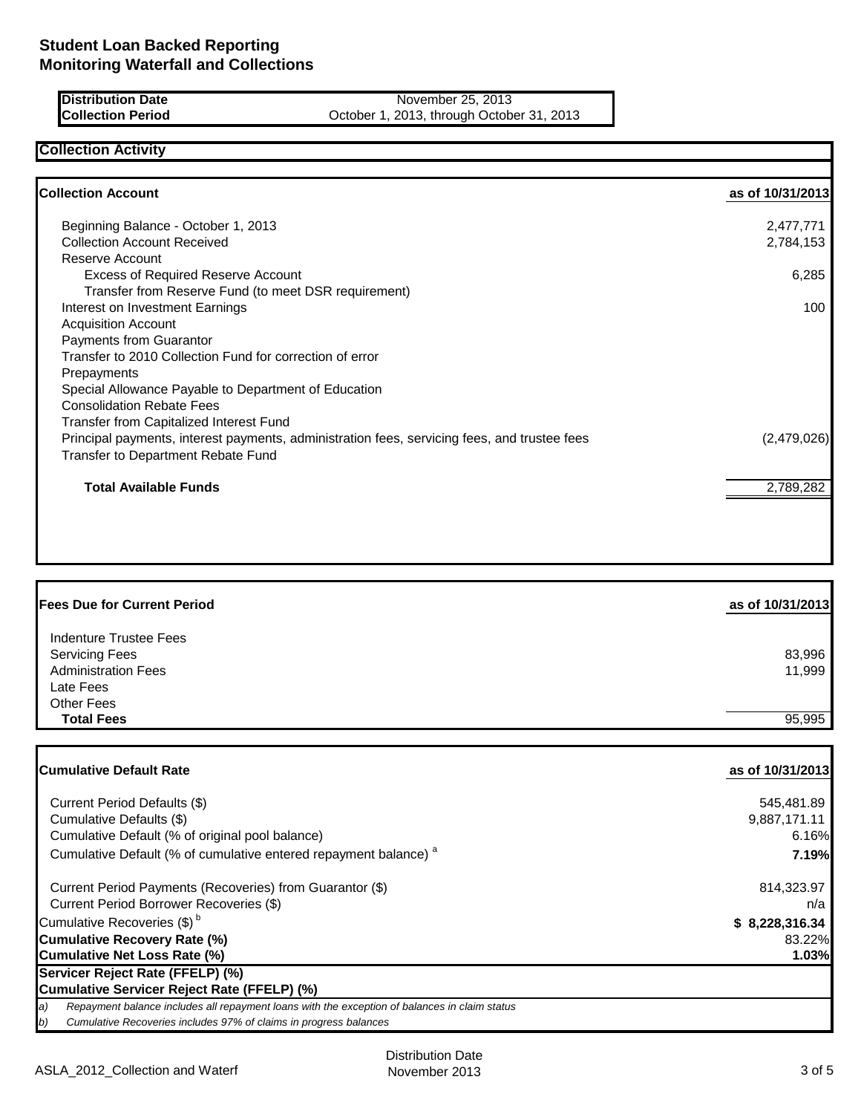**Distribution Date** November 25, 2013<br> **Collection Period** Collection Consumer December 2013, through October 1, 2013, through October October 1, 2013, through October 31, 2013

# **Collection Activity Collection Account as of 10/31/2013** Beginning Balance - October 1, 2013<br>
Collection Account Received 2,784,153 Collection Account Received Reserve Account Excess of Required Reserve Account 6,285 Transfer from Reserve Fund (to meet DSR requirement) **Interest on Investment Earnings** 100 Acquisition Account Payments from Guarantor Transfer to 2010 Collection Fund for correction of error **Prepayments** Special Allowance Payable to Department of Education Consolidation Rebate Fees Transfer from Capitalized Interest Fund Principal payments, interest payments, administration fees, servicing fees, and trustee fees (2,479,026) Transfer to Department Rebate Fund **Total Available Funds** 2,789,282

| <b>Fees Due for Current Period</b> | as of 10/31/2013 |
|------------------------------------|------------------|
| Indenture Trustee Fees             |                  |
| <b>Servicing Fees</b>              | 83,996           |
| <b>Administration Fees</b>         | 11,999           |
| Late Fees                          |                  |
| <b>Other Fees</b>                  |                  |
| <b>Total Fees</b>                  | 95,995           |

| <b>Cumulative Default Rate</b> |                                                                                               | as of 10/31/2013 |
|--------------------------------|-----------------------------------------------------------------------------------------------|------------------|
|                                | Current Period Defaults (\$)                                                                  | 545,481.89       |
|                                | Cumulative Defaults (\$)                                                                      | 9,887,171.11     |
|                                | Cumulative Default (% of original pool balance)                                               | 6.16%            |
|                                | Cumulative Default (% of cumulative entered repayment balance) <sup>a</sup>                   | 7.19%            |
|                                | Current Period Payments (Recoveries) from Guarantor (\$)                                      | 814,323.97       |
|                                | Current Period Borrower Recoveries (\$)                                                       | n/a              |
|                                | Cumulative Recoveries (\$) <sup>b</sup>                                                       | \$8,228,316.34   |
|                                | Cumulative Recovery Rate (%)                                                                  | 83.22%           |
|                                | Cumulative Net Loss Rate (%)                                                                  | 1.03%            |
|                                | Servicer Reject Rate (FFELP) (%)                                                              |                  |
|                                | Cumulative Servicer Reject Rate (FFELP) (%)                                                   |                  |
| a)                             | Repayment balance includes all repayment loans with the exception of balances in claim status |                  |
| b)                             | Cumulative Recoveries includes 97% of claims in progress balances                             |                  |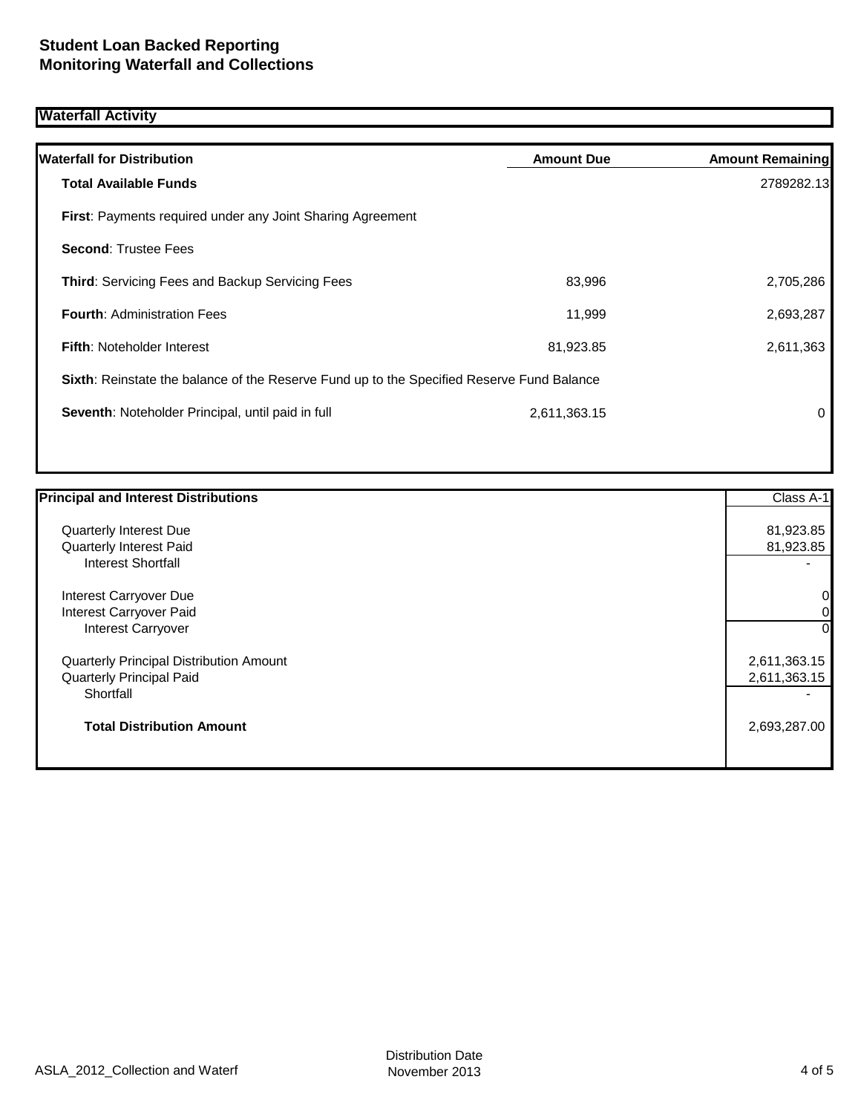# **Waterfall Activity**

| <b>Waterfall for Distribution</b>                                                         | <b>Amount Due</b> | <b>Amount Remaining</b> |
|-------------------------------------------------------------------------------------------|-------------------|-------------------------|
| <b>Total Available Funds</b>                                                              |                   | 2789282.13              |
| <b>First:</b> Payments required under any Joint Sharing Agreement                         |                   |                         |
| <b>Second: Trustee Fees</b>                                                               |                   |                         |
| <b>Third:</b> Servicing Fees and Backup Servicing Fees                                    | 83,996            | 2,705,286               |
| <b>Fourth: Administration Fees</b>                                                        | 11.999            | 2,693,287               |
| <b>Fifth: Noteholder Interest</b>                                                         | 81,923.85         | 2,611,363               |
| Sixth: Reinstate the balance of the Reserve Fund up to the Specified Reserve Fund Balance |                   |                         |
| Seventh: Noteholder Principal, until paid in full                                         | 2,611,363.15      | $\Omega$                |
|                                                                                           |                   |                         |

| <b>Principal and Interest Distributions</b> |              |
|---------------------------------------------|--------------|
| Quarterly Interest Due                      | 81,923.85    |
| Quarterly Interest Paid                     | 81,923.85    |
| Interest Shortfall                          |              |
| Interest Carryover Due                      | 0            |
| Interest Carryover Paid                     |              |
| <b>Interest Carryover</b>                   | 0            |
| Quarterly Principal Distribution Amount     | 2,611,363.15 |
| <b>Quarterly Principal Paid</b>             | 2,611,363.15 |
| Shortfall                                   |              |
| <b>Total Distribution Amount</b>            | 2,693,287.00 |
|                                             |              |